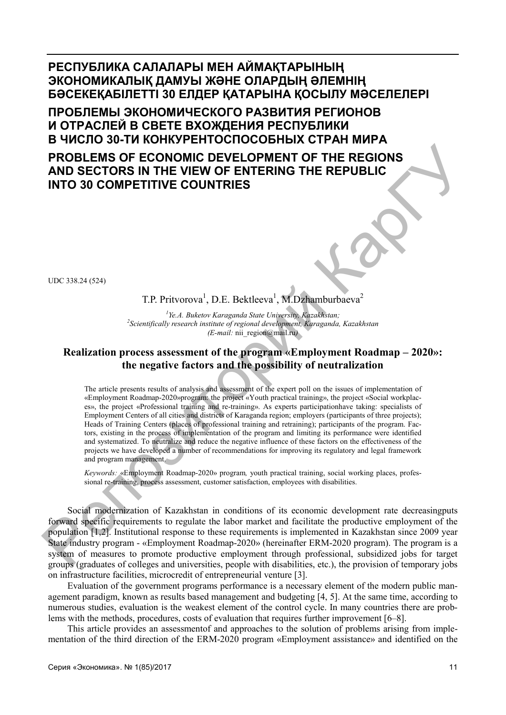**РЕСПУБЛИКА САЛАЛАРЫ МЕН АЙМАҚТАРЫНЫҢ ЭКОНОМИКАЛЫҚ ДАМУЫ ЖƏНЕ ОЛАРДЫҢ ƏЛЕМНІҢ БƏСЕКЕҚАБІЛЕТТІ 30 ЕЛДЕР ҚАТАРЫНА ҚОСЫЛУ МƏСЕЛЕЛЕРІ ПРОБЛЕМЫ ЭКОНОМИЧЕСКОГО РАЗВИТИЯ РЕГИОНОВ И ОТРАСЛЕЙ В СВЕТЕ ВХОЖДЕНИЯ РЕСПУБЛИКИ В ЧИСЛО 30-ТИ КОНКУРЕНТОСПОСОБНЫХ СТРАН МИРА PROBLEMS OF ECONOMIC DEVELOPMENT OF THE REGIONS** 

**AND SECTORS IN THE VIEW OF ENTERING THE REPUBLIC INTO 30 COMPETITIVE COUNTRIES** 

UDC 338.24 (524)

T.P. Pritvorova<sup>1</sup>, D.E. Bektleeva<sup>1</sup>, M.Dzhamburbaeva<sup>2</sup>

<sup>1</sup> *Ye.A. Buketov Karaganda State University, Kazakhstan;*<br><sup>2</sup> Sejantifically research institute of regional development, Karaganda. *Scientifically research institute of regional development, Karaganda, Kazakhstan (E-mail:* nii\_region@mail.ru*)* 

# **Realization process assessment of the program «Employment Roadmap – 2020»: the negative factors and the possibility of neutralization**

The article presents results of analysis and assessment of the expert poll on the issues of implementation of «Employment Roadmap-2020»program: the project «Youth practical training», the project «Social workplaces», the project «Professional training and re-training». As experts participationhave taking: specialists of Employment Centers of all cities and districts of Karaganda region; employers (participants of three projects); Heads of Training Centers (places of professional training and retraining); participants of the program. Factors, existing in the process of implementation of the program and limiting its performance were identified and systematized. To neutralize and reduce the negative influence of these factors on the effectiveness of the projects we have developed a number of recommendations for improving its regulatory and legal framework and program management. **PROBLEMS OF ECONOMIC DEVELOPMENT OF THE REGIONS<br>
AND SECTORS IN THE VIEW OF ENTERING THE REPUBLIC<br>
INTO 30 COMPETITIVE COUNTRIES<br>
T.P. Privorova<sup>1</sup>, D.E. Bekilcova<sup>1</sup>, M.D.Phamburbaseva<sup>2</sup><br>
"<sup>26</sup>A.Bakero Koragando State** 

*Keywords:* «Employment Roadmap-2020» program*,* youth practical training, social working places, professional re-training, process assessment, customer satisfaction, employees with disabilities.

Social modernization of Kazakhstan in conditions of its economic development rate decreasingputs forward specific requirements to regulate the labor market and facilitate the productive employment of the population [1,2]. Institutional response to these requirements is implemented in Kazakhstan since 2009 year State industry program - «Employment Roadmap-2020» (hereinafter ERM-2020 program). The program is a system of measures to promote productive employment through professional, subsidized jobs for target groups (graduates of colleges and universities, people with disabilities, etc.), the provision of temporary jobs on infrastructure facilities, microcredit of entrepreneurial venture [3].

Evaluation of the government programs performance is a necessary element of the modern public management paradigm, known as results based management and budgeting [4, 5]. At the same time, according to numerous studies, evaluation is the weakest element of the control cycle. In many countries there are problems with the methods, procedures, costs of evaluation that requires further improvement [6–8].

This article provides an assessmentof and approaches to the solution of problems arising from implementation of the third direction of the ERM-2020 program «Employment assistance» and identified on the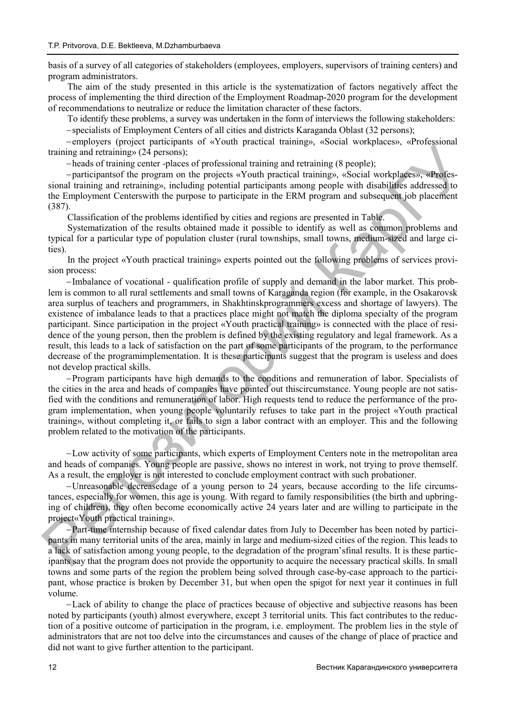basis of a survey of all categories of stakeholders (employees, employers, supervisors of training centers) and program administrators.

The aim of the study presented in this article is the systematization of factors negatively affect the process of implementing the third direction of the Employment Roadmap-2020 program for the development of recommendations to neutralize or reduce the limitation character of these factors.

To identify these problems, a survey was undertaken in the form of interviews the following stakeholders:

specialists of Employment Centers of all cities and districts Karaganda Oblast (32 persons);

employers (project participants of «Youth practical training», «Social workplaces», «Professional training and retraining» (24 persons);

heads of training center -places of professional training and retraining (8 people);

participantsof the program on the projects «Youth practical training», «Social workplaces», «Professional training and retraining», including potential participants among people with disabilities addressed to the Employment Centerswith the purpose to participate in the ERM program and subsequent job placement (387).

Classification of the problems identified by cities and regions are presented in Table.

Systematization of the results obtained made it possible to identify as well as common problems and typical for a particular type of population cluster (rural townships, small towns, medium-sized and large cities).

In the project «Youth practical training» experts pointed out the following problems of services provision process:

-Imbalance of vocational - qualification profile of supply and demand in the labor market. This problem is common to all rural settlements and small towns of Karaganda region (for example, in the Osakarovsk area surplus of teachers and programmers, in Shakhtinskprogrammers excess and shortage of lawyers). The existence of imbalance leads to that a practices place might not match the diploma specialty of the program participant. Since participation in the project «Youth practical training» is connected with the place of residence of the young person, then the problem is defined by the existing regulatory and legal framework. As a result, this leads to a lack of satisfaction on the part of some participants of the program, to the performance decrease of the programimplementation. It is these participants suggest that the program is useless and does not develop practical skills. Frame and screeness of served presentation of the served in the served in the served in the served in the served in the served in the served in the served in the served in the served in the served in the served in the ser

Program participants have high demands to the conditions and remuneration of labor. Specialists of the cities in the area and heads of companies have pointed out thiscircumstance. Young people are not satisfied with the conditions and remuneration of labor. High requests tend to reduce the performance of the program implementation, when young people voluntarily refuses to take part in the project «Youth practical training», without completing it, or fails to sign a labor contract with an employer. This and the following problem related to the motivation of the participants.

Low activity of some participants, which experts of Employment Centers note in the metropolitan area and heads of companies. Young people are passive, shows no interest in work, not trying to prove themself. As a result, the employer is not interested to conclude employment contract with such probationer.

Unreasonable decreasedage of a young person to 24 years, because according to the life circumstances, especially for women, this age is young. With regard to family responsibilities (the birth and upbringing of children), they often become economically active 24 years later and are willing to participate in the project«Youth practical training».

Part-time internship because of fixed calendar dates from July to December has been noted by participants in many territorial units of the area, mainly in large and medium-sized cities of the region. This leads to a lack of satisfaction among young people, to the degradation of the program'sfinal results. It is these participants say that the program does not provide the opportunity to acquire the necessary practical skills. In small towns and some parts of the region the problem being solved through case-by-case approach to the participant, whose practice is broken by December 31, but when open the spigot for next year it continues in full volume.

Lack of ability to change the place of practices because of objective and subjective reasons has been noted by participants (youth) almost everywhere, except 3 territorial units. This fact contributes to the reduction of a positive outcome of participation in the program, i.e. employment. The problem lies in the style of administrators that are not too delve into the circumstances and causes of the change of place of practice and did not want to give further attention to the participant.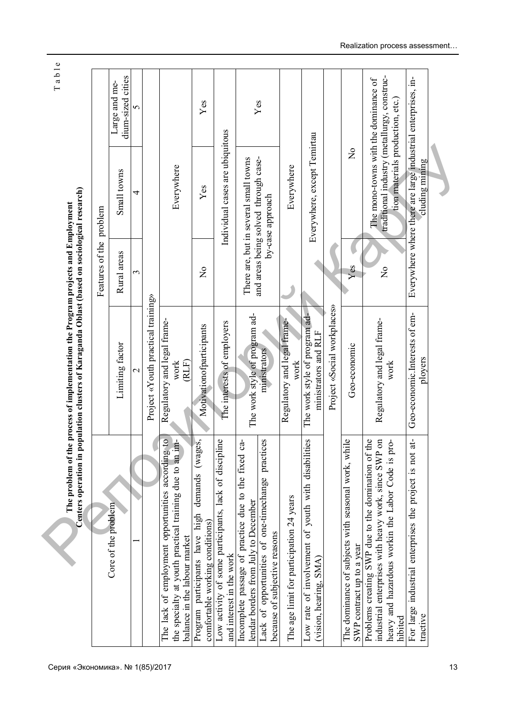|                                                                                                                                                                            |                                                       | Features of the problem   |                                                                                                                        |                                    |
|----------------------------------------------------------------------------------------------------------------------------------------------------------------------------|-------------------------------------------------------|---------------------------|------------------------------------------------------------------------------------------------------------------------|------------------------------------|
| Core of the problem                                                                                                                                                        | Limiting factor                                       | Rural areas               | Small towns                                                                                                            | dium-sized cities<br>Large and me- |
|                                                                                                                                                                            | $\mathbf 1$                                           | 3                         | 4                                                                                                                      | 5                                  |
|                                                                                                                                                                            | Project «Youth practical training»                    |                           |                                                                                                                        |                                    |
| $\overline{Q}$<br>ᆂ<br>the specialty at youth practical training due to an in<br>The lack of employment opportunities according t<br>balance in the labour market          | Regulatory and legal frame-<br>(RLF)<br>work          |                           | Everywhere                                                                                                             |                                    |
| (wages,<br>demands<br>Program participants have high<br>comfortable working conditions)                                                                                    | Motivationofparticipants                              | $\mathsf{S}^{\mathsf{O}}$ | Yes                                                                                                                    | Yes                                |
| $\ddot{\mathbf{O}}$<br>Low activity of some participants, lack of disciplin<br>and interest in the work                                                                    | The interests of employers                            |                           | Individual cases are ubiquitous                                                                                        |                                    |
| Incomplete passage of practice due to the fixed ca-<br>lendar borders from July to December                                                                                | The work style of program ad-                         |                           | There are, but in several small towns                                                                                  |                                    |
| practices<br>Lack of opportunities of one-timechange<br>because of subjective reasons                                                                                      | ministrators                                          |                           | and areas being solved through case-<br>by-case approach                                                               | Yes                                |
| The age limit for participation 24 years                                                                                                                                   | Regulatory and legal frame-<br>work                   |                           | Everywhere                                                                                                             |                                    |
| Š,<br>Low rate of involvement of youth with disabilitie<br>(vision, hearing, SMA)                                                                                          | The work style of program ad-<br>ministrators and RLF |                           | Everywhere, except Temirtau                                                                                            |                                    |
|                                                                                                                                                                            | Project «Social workplaces»                           |                           |                                                                                                                        |                                    |
| $\bullet$<br>The dominance of subjects with seasonal work, whil<br>SWP contract up to a year                                                                               | Geo-economic                                          | Yes                       | $\frac{1}{2}$                                                                                                          |                                    |
| industrial enterprises with heavy work, since SWP on<br>Problems creating SWP due to the domination of the<br>heavy and hazardous workin the Labor Code is pro-<br>hibited | Regulatory and legal frame-<br>work                   | $\mathsf{S}^{\mathsf{O}}$ | traditional industry (metallurgy, construc-<br>The mono-towns with the dominance of<br>tion materials production, etc. |                                    |
| For large industrial enterprises the project is not at-<br>tractive                                                                                                        | Geo-economic.Interests of em-<br>ployers              |                           | Everywhere where there are large industrial enterprises, in-<br>cluding mining                                         |                                    |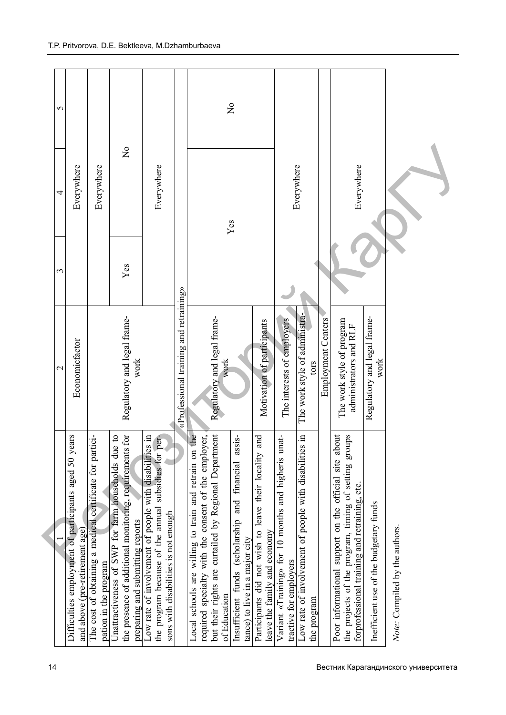| 5           |                                                                                         |                                                                                   |                                                                                                                                                                |                                                                                                                                                              |                                        | $\frac{1}{2}$                                                                                                                                                                                                                                                                      |                                                                                       |                                                                               |                                                                             |                           |                                                                                                                                                                 |                                        |                                |
|-------------|-----------------------------------------------------------------------------------------|-----------------------------------------------------------------------------------|----------------------------------------------------------------------------------------------------------------------------------------------------------------|--------------------------------------------------------------------------------------------------------------------------------------------------------------|----------------------------------------|------------------------------------------------------------------------------------------------------------------------------------------------------------------------------------------------------------------------------------------------------------------------------------|---------------------------------------------------------------------------------------|-------------------------------------------------------------------------------|-----------------------------------------------------------------------------|---------------------------|-----------------------------------------------------------------------------------------------------------------------------------------------------------------|----------------------------------------|--------------------------------|
| 4           | Everywhere                                                                              | Everywhere                                                                        | $\frac{1}{2}$                                                                                                                                                  | Everywhere                                                                                                                                                   |                                        | Yes                                                                                                                                                                                                                                                                                |                                                                                       |                                                                               | Everywhere                                                                  |                           | Everywhere                                                                                                                                                      |                                        |                                |
| 3           |                                                                                         |                                                                                   | Yes                                                                                                                                                            |                                                                                                                                                              |                                        |                                                                                                                                                                                                                                                                                    |                                                                                       |                                                                               |                                                                             |                           |                                                                                                                                                                 |                                        |                                |
| $\mathbf 2$ | Economicfactor                                                                          |                                                                                   | Regulatory and legal frame-<br>work                                                                                                                            |                                                                                                                                                              | «Professional training and retraining» | Regulatory and legal frame-<br>work                                                                                                                                                                                                                                                | Motivation of participants                                                            | The interests of employers                                                    | The work style of administra-<br>tors                                       | <b>Employment Centers</b> | The work style of program<br>administrators and RLF                                                                                                             | Regulatory and legal frame-<br>work    |                                |
|             | Difficulties employment of participants aged 50 years<br>and above (pre-retirement age) | The cost of obtaining a medical certificate for partici-<br>pation in the program | the presence of additional monitoring, requirements for<br>$\mathbf{c}$<br>Unattractiveness of SWP for farm households due<br>preparing and submitting reports | $\Xi$<br>the program because of the annual subsidies for per-<br>Low rate of involvement of people with disabilities<br>sons with disabilities is not enough |                                        | he<br>but their rights are curtailed by Regional Department<br>Insufficient funds (scholarship and financial assis-<br>required specialty with the consent of the employer,<br>Local schools are willing to train and retrain on<br>tance) to live in a major city<br>of Education | Participants did not wish to leave their locality and<br>leave the family and economy | Variant «Training» for 10 months and higheris unat-<br>tractive for employers | $\Xi$<br>Low rate of involvement of people with disabilities<br>the program |                           | Poor informational support on the official site about<br>the projects of the program, timing of setting groups<br>forprofessional training and retraining, etc. | Inefficient use of the budgetary funds | Note: Compiled by the authors. |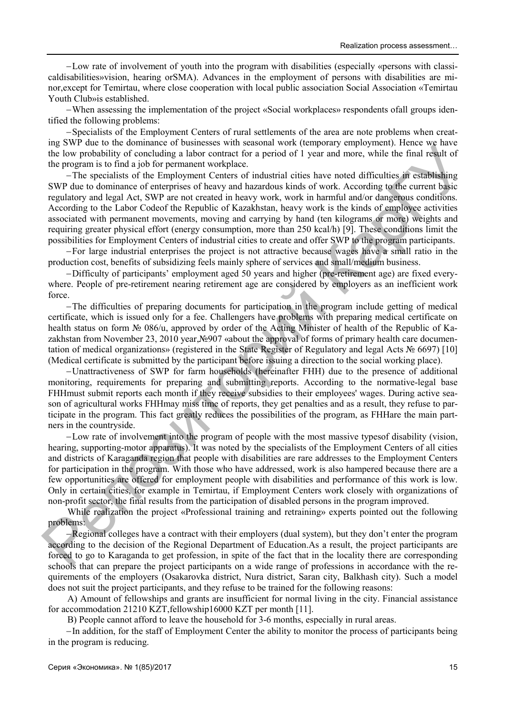Low rate of involvement of youth into the program with disabilities (especially «persons with classicaldisabilities»vision, hearing orSMA). Advances in the employment of persons with disabilities are minor,except for Temirtau, where close cooperation with local public association Social Association «Temirtau Youth Club»is established.

When assessing the implementation of the project «Social workplaces» respondents ofall groups identified the following problems:

-Specialists of the Employment Centers of rural settlements of the area are note problems when creating SWP due to the dominance of businesses with seasonal work (temporary employment). Hence we have the low probability of concluding a labor contract for a period of 1 year and more, while the final result of the program is to find a job for permanent workplace.

The specialists of the Employment Centers of industrial cities have noted difficulties in establishing SWP due to dominance of enterprises of heavy and hazardous kinds of work. According to the current basic regulatory and legal Act, SWP are not created in heavy work, work in harmful and/or dangerous conditions. According to the Labor Codeof the Republic of Kazakhstan, heavy work is the kinds of employee activities associated with permanent movements, moving and carrying by hand (ten kilograms or more) weights and requiring greater physical effort (energy consumption, more than 250 kcal/h) [9]. These conditions limit the possibilities for Employment Centers of industrial cities to create and offer SWP to the program participants. By own the total methods in the computer of this message with scaling whole the proportion of the product of the product of the product of the product of the product of the product of the product of the product of the pr

For large industrial enterprises the project is not attractive because wages have a small ratio in the production cost, benefits of subsidizing feels mainly sphere of services and small/medium business.

Difficulty of participants' employment aged 50 years and higher (pre-retirement age) are fixed everywhere. People of pre-retirement nearing retirement age are considered by employers as an inefficient work force.

The difficulties of preparing documents for participation in the program include getting of medical certificate, which is issued only for a fee. Challengers have problems with preparing medical certificate on health status on form № 086/u, approved by order of the Acting Minister of health of the Republic of Kazakhstan from November 23, 2010 year,№907 «about the approval of forms of primary health care documentation of medical organizations» (registered in the State Register of Regulatory and legal Acts № 6697) [10] (Medical certificate is submitted by the participant before issuing a direction to the social working place).

Unattractiveness of SWP for farm households (hereinafter FHH) due to the presence of additional monitoring, requirements for preparing and submitting reports. According to the normative-legal base FHHmust submit reports each month if they receive subsidies to their employees' wages. During active season of agricultural works FHHmay miss time of reports, they get penalties and as a result, they refuse to participate in the program. This fact greatly reduces the possibilities of the program, as FHHare the main partners in the countryside.

Low rate of involvement into the program of people with the most massive typesof disability (vision, hearing, supporting-motor apparatus). It was noted by the specialists of the Employment Centers of all cities and districts of Karaganda region that people with disabilities are rare addresses to the Employment Centers for participation in the program. With those who have addressed, work is also hampered because there are a few opportunities are offered for employment people with disabilities and performance of this work is low. Only in certain cities, for example in Temirtau, if Employment Centers work closely with organizations of non-profit sector, the final results from the participation of disabled persons in the program improved.

While realization the project «Professional training and retraining» experts pointed out the following problems:

-Regional colleges have a contract with their employers (dual system), but they don't enter the program according to the decision of the Regional Department of Education.As a result, the project participants are forced to go to Karaganda to get profession, in spite of the fact that in the locality there are corresponding schools that can prepare the project participants on a wide range of professions in accordance with the requirements of the employers (Osakarovka district, Nura district, Saran city, Balkhash city). Such a model does not suit the project participants, and they refuse to be trained for the following reasons:

A) Amount of fellowships and grants are insufficient for normal living in the city. Financial assistance for accommodation 21210 KZT,fellowship16000 KZT per month [11].

B) People cannot afford to leave the household for 3-6 months, especially in rural areas.

-In addition, for the staff of Employment Center the ability to monitor the process of participants being in the program is reducing.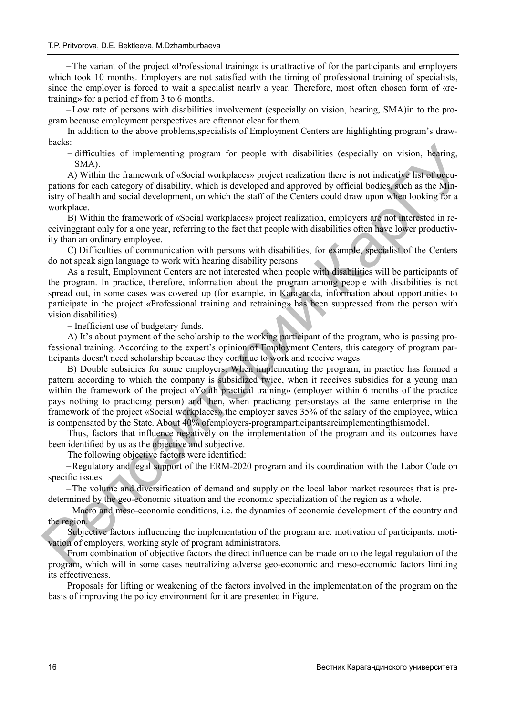The variant of the project «Professional training» is unattractive of for the participants and employers which took 10 months. Employers are not satisfied with the timing of professional training of specialists, since the employer is forced to wait a specialist nearly a year. Therefore, most often chosen form of «retraining» for a period of from 3 to 6 months.

Low rate of persons with disabilities involvement (especially on vision, hearing, SMA)in to the program because employment perspectives are oftennot clear for them.

In addition to the above problems,specialists of Employment Centers are highlighting program's drawbacks:

 difficulties of implementing program for people with disabilities (especially on vision, hearing,  $SMA$ <sup>:</sup>

A) Within the framework of «Social workplaces» project realization there is not indicative list of occupations for each category of disability, which is developed and approved by official bodies, such as the Ministry of health and social development, on which the staff of the Centers could draw upon when looking for a workplace.

B) Within the framework of «Social workplaces» project realization, employers are not interested in receivinggrant only for a one year, referring to the fact that people with disabilities often have lower productivity than an ordinary employee.

C) Difficulties of communication with persons with disabilities, for example, specialist of the Centers do not speak sign language to work with hearing disability persons.

As a result, Employment Centers are not interested when people with disabilities will be participants of the program. In practice, therefore, information about the program among people with disabilities is not spread out, in some cases was covered up (for example, in Karaganda, information about opportunities to participate in the project «Professional training and retraining» has been suppressed from the person with vision disabilities).

- Inefficient use of budgetary funds.

A) It's about payment of the scholarship to the working participant of the program, who is passing professional training. According to the expert's opinion of Employment Centers, this category of program participants doesn't need scholarship because they continue to work and receive wages.

B) Double subsidies for some employers. When implementing the program, in practice has formed a pattern according to which the company is subsidized twice, when it receives subsidies for a young man within the framework of the project «Youth practical training» (employer within 6 months of the practice pays nothing to practicing person) and then, when practicing personstays at the same enterprise in the framework of the project «Social workplaces» the employer saves 35% of the salary of the employee, which is compensated by the State. About 40% ofemployers-programparticipantsareimplementingthismodel. oac.s.<br>
Some difficulties of implementing program for people with disabilities (especially on vision, hearing,<br>
ANAA) the framework of eSocial workpluces project realization there is not indicating like of a<br>grain on Mira

Thus, factors that influence negatively on the implementation of the program and its outcomes have been identified by us as the objective and subjective.

The following objective factors were identified:

Regulatory and legal support of the ERM-2020 program and its coordination with the Labor Code on specific issues.

The volume and diversification of demand and supply on the local labor market resources that is predetermined by the geo-economic situation and the economic specialization of the region as a whole.

Macro and meso-economic conditions, i.e. the dynamics of economic development of the country and the region.

Subjective factors influencing the implementation of the program are: motivation of participants, motivation of employers, working style of program administrators.

From combination of objective factors the direct influence can be made on to the legal regulation of the program, which will in some cases neutralizing adverse geo-economic and meso-economic factors limiting its effectiveness.

Proposals for lifting or weakening of the factors involved in the implementation of the program on the basis of improving the policy environment for it are presented in Figure.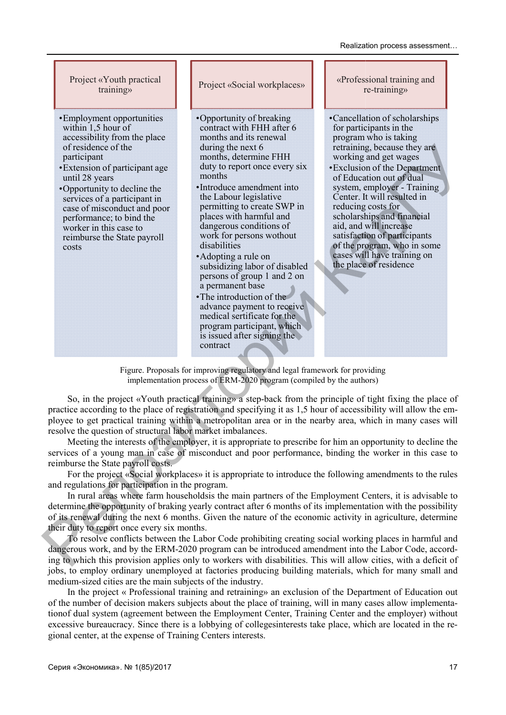Project «Youth practical training»

- •Employment opportunities within 1,5 hour of accessibility from the place of residence of the participant
- •Extension of participant age until 28 years
- •Opportunity to decline the services of a participant in case of misconduct and poor performance; to bind the worker in this case to reimburse the State payroll costs

Project «Social workplaces»

- •Opportunity of breaking contract with FHH after 6 months and its renewal during the next 6 months, determine FHH duty to report once every six months
- •Introduce amendment into the Labour legislative permitting to create SWP in places with harmful and dangerous conditions of work for persons wothout disabilities
- •Adopting a rule on subsidizing labor of disabled persons of group 1 and 2 on a permanent base
- •The introduction of the advance payment to receive medical sertificate for the program participant, which is issued after signing the contract

«Profes sional training and r re-training»

- •Cancellation of scholarships for participants in the program who is taking retraining g, because they are working and get wages
- •Exclusio n of the Department of Education out of dual system, employer - Training Center. It will resulted in reducing g costs for scholarships and financial aid, and w will increase satisfaction of participants of the program, who in some cases will have training on the place of residence

Figure. Proposals for improving regulatory and legal framework for providing implementation process of ERM-2020 program (compiled by the authors)

So, in the project «Youth practical training» a step-back from the principle of tight fixing the place of practice according to the place of registration and specifying it as 1,5 hour of accessibility will allow the employee to get practical training within a metropolitan area or in the nearby area, which in many cases will resolve the question of structural labor market imbalances. of estickness of the next of multiple next of multiple perturbane that the control of the present of the present of the properties of the Control of the Control of the Control of the Control of the Control of the Control

Meeting the interests of the employer, it is appropriate to prescribe for him an opportunity to decline the services of a young man in case of misconduct and poor performance, binding the worker in this case to reimburse the State payroll costs.

For the project «Social workplaces» it is appropriate to introduce the following amendments to the rules and regulations for participation in the program.

In rural areas where farm householdsis the main partners of the Employment Centers, it is advisable to determine the opportunity of braking yearly contract after 6 months of its implementation with the possibility of its renewal during the next 6 months. Given the nature of the economic activity in agriculture, determine their duty to report once every six months.

To resolve conflicts between the Labor Code prohibiting creating social working places in harmful and dangerous work, and by the ERM-2020 program can be introduced amendment into the Labor Code, according to which this provision applies only to workers with disabilities. This will allow cities, with a deficit of jobs, to employ ordinary unemployed at factories producing building materials, which for many small and medium-sized cities are the main subjects of the industry.

In the project « Professional training and retraining» an exclusion of the Department of Education out of the number of decision makers subjects about the place of training, will in many cases allow implementationof dual system (agreement between the Employment Center, Training Center and the employer) without excessive bureaucracy. Since there is a lobbying of collegesinterests take place, which are located in the regional center, at the expense of Training Centers interests.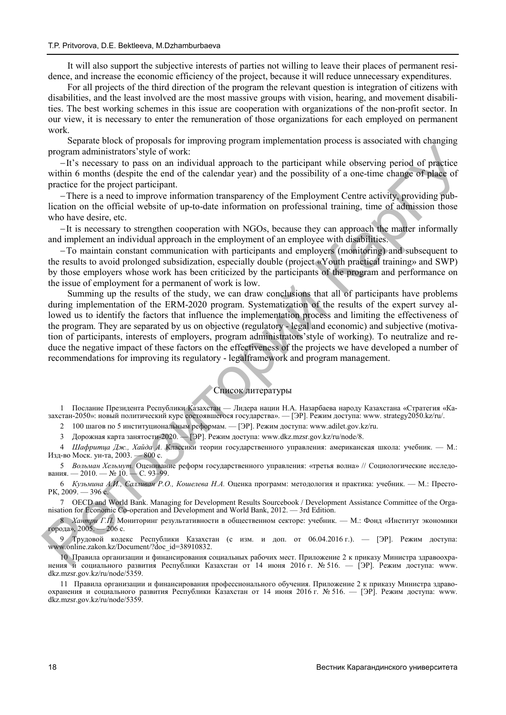It will also support the subjective interests of parties not willing to leave their places of permanent residence, and increase the economic efficiency of the project, because it will reduce unnecessary expenditures.

For all projects of the third direction of the program the relevant question is integration of citizens with disabilities, and the least involved are the most massive groups with vision, hearing, and movement disabilities. The best working schemes in this issue are cooperation with organizations of the non-profit sector. In our view, it is necessary to enter the remuneration of those organizations for each employed on permanent work.

Separate block of proposals for improving program implementation process is associated with changing program administrators'style of work:

It's necessary to pass on an individual approach to the participant while observing period of practice within 6 months (despite the end of the calendar year) and the possibility of a one-time change of place of practice for the project participant.

There is a need to improve information transparency of the Employment Centre activity, providing publication on the official website of up-to-date information on professional training, time of admission those who have desire, etc.

-It is necessary to strengthen cooperation with NGOs, because they can approach the matter informally and implement an individual approach in the employment of an employee with disabilities.

To maintain constant communication with participants and employers (monitoring) and subsequent to the results to avoid prolonged subsidization, especially double (project «Youth practical training» and SWP) by those employers whose work has been criticized by the participants of the program and performance on the issue of employment for a permanent of work is low.

Summing up the results of the study, we can draw conclusions that all of participants have problems during implementation of the ERM-2020 program. Systematization of the results of the expert survey allowed us to identify the factors that influence the implementation process and limiting the effectiveness of the program. They are separated by us on objective (regulatory - legal and economic) and subjective (motivation of participants, interests of employers, program administrators'style of working). To neutralize and reduce the negative impact of these factors on the effectiveness of the projects we have developed a number of recommendations for improving its regulatory - legalframework and program management. **Program administration** Skyle of work.<sup>2</sup>, we can discuss the proposition of a proposition of proposition of the projection product in the projection product in the projection of profession and of the celebrative State

#### Список литературы

1 Послание Президента Республики Казахстан — Лидера нации Н.А. Назарбаева народу Казахстана «Стратегия «Казахстан-2050»: новый политический курс состоявшегося государства». — [ЭР]. Режим доступа: www. strategy2050.kz/ru/.

2 100 шагов по 5 институциональным реформам. — [ЭР]. Режим доступа: www.adilet.gov.kz/ru.

3 Дорожная карта занятости-2020. — [ЭР]. Режим доступа: www.dkz.mzsr.gov.kz/ru/node/8.

4 *Шафритца Дж., Хайда А.* Классики теории государственного управления: американская школа: учебник. — М.: Изд-во Моск. ун-та, 2003. — 800 с.

5 *Вольман Хельмут.* Оценивание реформ государственного управления: «третья волна» // Социологические исследования. — 2010. — № 10. — С. 93–99.

6 *Кузьмина А.И., Салливан Р.О., Кошелева Н.А.* Оценка программ: методология и практика: учебник. — М.: Престо-РК, 2009. — 396 с.

7 OECD and World Bank. Managing for Development Results Sourcebook / Development Assistance Committee of the Organisation for Economic Co-operation and Development and World Bank, 2012. — 3rd Edition.

8 *Хантри Г.П.* Мониторинг результативности в общественном секторе: учебник. — М.: Фонд «Институт экономики города», 2005. — 206 с.

9 Трудовой кодекс Республики Казахстан (с изм. и доп. от 06.04.2016 г.). — [ЭР]. Режим доступа: www.online.zakon.kz/Document/?doc\_id=38910832.

10 Правила организации и финансирования социальных рабочих мест. Приложение 2 к приказу Министра здравоохранения и социального развития Республики Казахстан от 14 июня 2016 г. № 516. — [ЭР]. Режим доступа: www. dkz.mzsr.gov.kz/ru/node/5359.

11 Правила организации и финансирования профессионального обучения. Приложение 2 к приказу Министра здравоохранения и социального развития Республики Казахстан от 14 июня 2016 г. № 516. — [ЭР]. Режим доступа: www. dkz.mzsr.gov.kz/ru/node/5359.